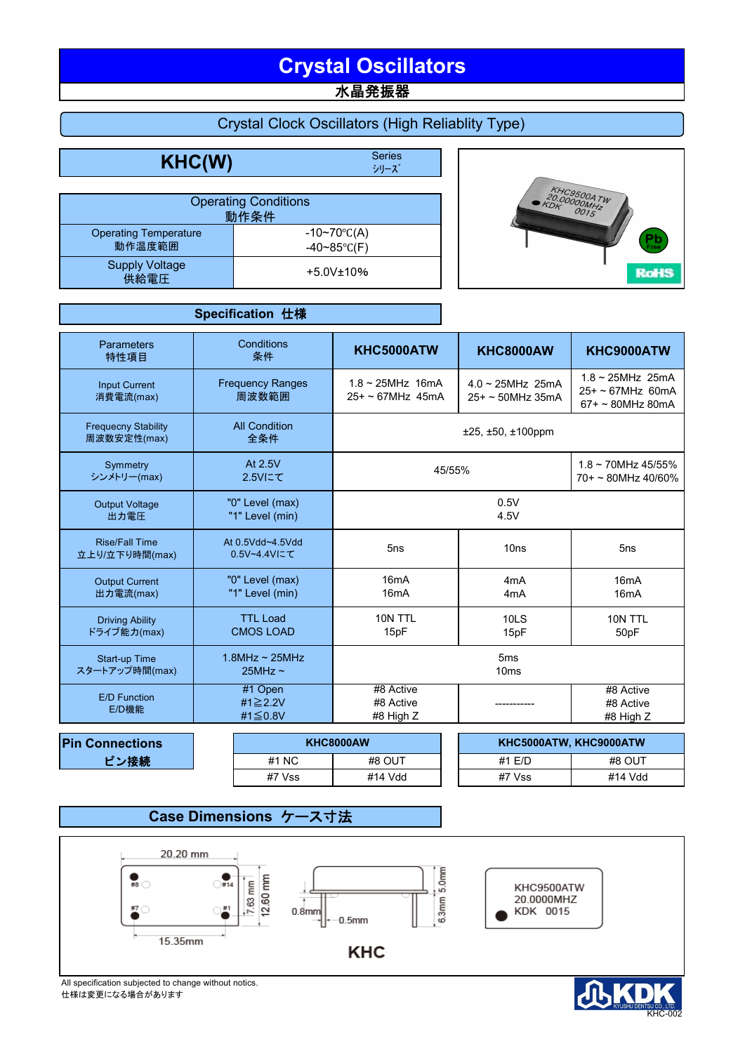# **Crystal Oscillators**

水晶発振器

## Crystal Clock Oscillators (High Reliablity Type)

**KHC(W)** Series

シリーズ

|                                        | <b>Operating Conditions</b><br>動作条件          |
|----------------------------------------|----------------------------------------------|
| <b>Operating Temperature</b><br>動作温度範囲 | $-10~70$ °C(A)<br>$-40 \sim 85^{\circ}$ C(F) |
| <b>Supply Voltage</b><br>供給電圧          | $+5.0V$ ±10%                                 |



|                                           | Specification 仕様                     |                                               |                                               |                                                                          |
|-------------------------------------------|--------------------------------------|-----------------------------------------------|-----------------------------------------------|--------------------------------------------------------------------------|
| Parameters<br>特性項目                        | Conditions<br>条件                     | KHC5000ATW                                    | <b>KHC8000AW</b>                              | KHC9000ATW                                                               |
| <b>Input Current</b><br>消費電流(max)         | <b>Frequency Ranges</b><br>周波数範囲     | $1.8 \sim 25$ MHz 16mA<br>$25+ - 67$ MHz 45mA | $4.0 \sim 25$ MHz 25mA<br>$25+ - 50$ MHz 35mA | $1.8 \sim 25$ MHz 25mA<br>$25+ - 67$ MHz 60mA<br>$67 + \sim 80$ MHz 80mA |
| <b>Frequecny Stability</b><br>周波数安定性(max) | <b>All Condition</b><br>全条件          |                                               | $±25, ±50, ±100$ ppm                          |                                                                          |
| Symmetry<br>シンメトリー(max)                   | At 2.5V<br>2.5Vにて                    | 45/55%                                        |                                               | $1.8 \sim 70$ MHz 45/55%<br>$70+ \sim 80$ MHz 40/60%                     |
| <b>Output Voltage</b><br>出力電圧             | "0" Level (max)<br>"1" Level (min)   |                                               | 0.5V<br>4.5V                                  |                                                                          |
| <b>Rise/Fall Time</b><br>立上り/立下り時間(max)   | At 0.5Vdd~4.5Vdd<br>0.5V~4.4Vにて      | 5ns                                           | 10ns                                          | 5ns                                                                      |
| <b>Output Current</b><br>出力電流(max)        | "0" Level (max)<br>"1" Level (min)   | 16 <sub>m</sub> A<br>16 <sub>m</sub> A        | 4 <sub>m</sub> A<br>4 <sub>m</sub> A          | 16 <sub>m</sub> A<br>16 <sub>m</sub> A                                   |
| <b>Driving Ability</b><br>ドライブ能力(max)     | <b>TTL Load</b><br><b>CMOS LOAD</b>  | 10N TTL<br>15pF                               | <b>10LS</b><br>15pF                           | 10N TTL<br>50pF                                                          |
| Start-up Time<br>スタートアップ時間(max)           | $1.8$ MHz ~ $25$ MHz<br>$25MHz \sim$ |                                               | 5 <sub>ms</sub><br>10ms                       |                                                                          |
| <b>E/D Function</b><br>E/D機能              | #1 Open<br>#1≧2.2V<br>#1≦0.8V        | #8 Active<br>#8 Active<br>#8 High Z           |                                               | #8 Active<br>#8 Active<br>#8 High Z                                      |

| <b>Pin Connections</b> |  |                 | <b>KHC8000AW</b> | KHC5000ATW, KHC9000ATW |         |  |
|------------------------|--|-----------------|------------------|------------------------|---------|--|
| ピン接続                   |  | #1<br><b>NC</b> | #8 OUT           | #1 E/D                 | #8 OUT  |  |
|                        |  | #7 Vss          | #14 Vdd          | #7 Vss                 | #14 Vdc |  |

| KHC8000AW |        | KHC5000ATW, KHC9000ATW |
|-----------|--------|------------------------|
| #8 OUT    | #1 F/D | #8 OUT                 |
| #14 Vdd   | #7 Vss | #14 Vdd                |

### **Case Dimensions** ケース寸法



All specification subjected to change without notics. 仕様は変更になる場合があります